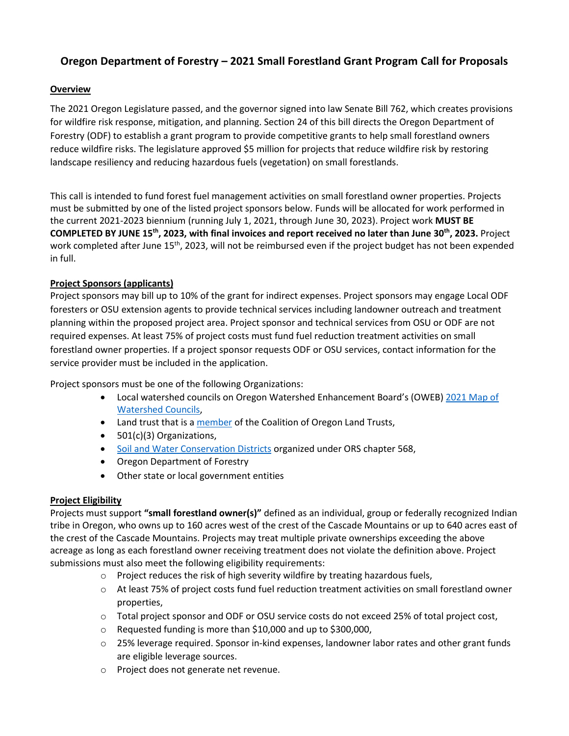# **Oregon Department of Forestry – 2021 Small Forestland Grant Program Call for Proposals**

# **Overview**

The 2021 Oregon Legislature passed, and the governor signed into law Senate Bill 762, which creates provisions for wildfire risk response, mitigation, and planning. Section 24 of this bill directs the Oregon Department of Forestry (ODF) to establish a grant program to provide competitive grants to help small forestland owners reduce wildfire risks. The legislature approved \$5 million for projects that reduce wildfire risk by restoring landscape resiliency and reducing hazardous fuels (vegetation) on small forestlands.

This call is intended to fund forest fuel management activities on small forestland owner properties. Projects must be submitted by one of the listed project sponsors below. Funds will be allocated for work performed in the current 2021-2023 biennium (running July 1, 2021, through June 30, 2023). Project work **MUST BE COMPLETED BY JUNE 15th , 2023, with final invoices and report received no later than June 30th, 2023.** Project work completed after June 15<sup>th</sup>, 2023, will not be reimbursed even if the project budget has not been expended in full.

# **Project Sponsors (applicants)**

Project sponsors may bill up to 10% of the grant for indirect expenses. Project sponsors may engage Local ODF foresters or OSU extension agents to provide technical services including landowner outreach and treatment planning within the proposed project area. Project sponsor and technical services from OSU or ODF are not required expenses. At least 75% of project costs must fund fuel reduction treatment activities on small forestland owner properties. If a project sponsor requests ODF or OSU services, contact information for the service provider must be included in the application.

Project sponsors must be one of the following Organizations:

- Local watershed councils on Oregon Watershed Enhancement Board's (OWEB) [2021 Map of](https://www.oregon.gov/oweb/Documents/Watershed-Councils-Map.pdf)  [Watershed Councils,](https://www.oregon.gov/oweb/Documents/Watershed-Councils-Map.pdf)
- Land trust that is [a member](https://oregonlandtrusts.org/about-us/coalition-members/) of the Coalition of Oregon Land Trusts,
- 501(c)(3) Organizations,
- [Soil and Water Conservation Districts](https://geo.maps.arcgis.com/apps/Viewer/index.html?appid=9cee1a8b865140d5b71253975fb7fe6d) organized under ORS chapter 568,
- Oregon Department of Forestry
- Other state or local government entities

#### **Project Eligibility**

Projects must support **"small forestland owner(s)"** defined as an individual, group or federally recognized Indian tribe in Oregon, who owns up to 160 acres west of the crest of the Cascade Mountains or up to 640 acres east of the crest of the Cascade Mountains. Projects may treat multiple private ownerships exceeding the above acreage as long as each forestland owner receiving treatment does not violate the definition above. Project submissions must also meet the following eligibility requirements:

- $\circ$  Project reduces the risk of high severity wildfire by treating hazardous fuels,
- $\circ$  At least 75% of project costs fund fuel reduction treatment activities on small forestland owner properties,
- o Total project sponsor and ODF or OSU service costs do not exceed 25% of total project cost,
- o Requested funding is more than \$10,000 and up to \$300,000,
- $\circ$  25% leverage required. Sponsor in-kind expenses, landowner labor rates and other grant funds are eligible leverage sources.
- o Project does not generate net revenue.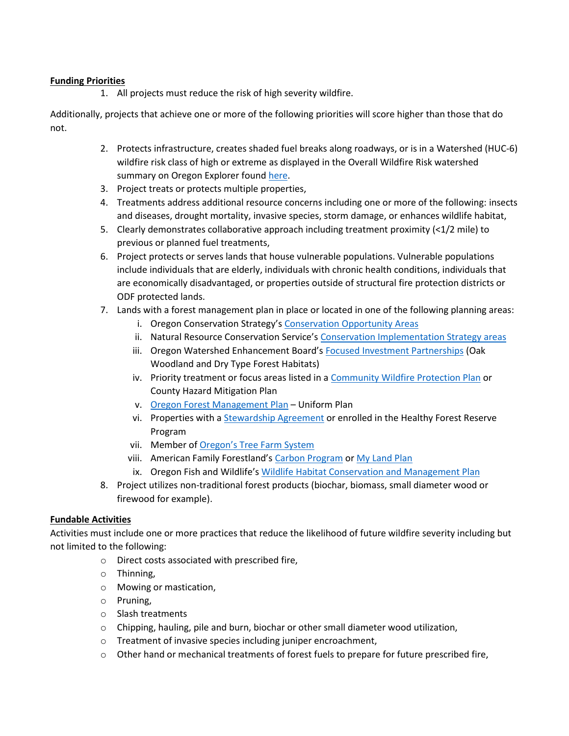### **Funding Priorities**

1. All projects must reduce the risk of high severity wildfire.

Additionally, projects that achieve one or more of the following priorities will score higher than those that do not.

- 2. Protects infrastructure, creates shaded fuel breaks along roadways, or is in a Watershed (HUC-6) wildfire risk class of high or extreme as displayed in the Overall Wildfire Risk watershed summary on Oregon Explorer found [here.](https://tools.oregonexplorer.info/OE_HtmlViewer/index.html?viewer=wildfireplanning)
- 3. Project treats or protects multiple properties,
- 4. Treatments address additional resource concerns including one or more of the following: insects and diseases, drought mortality, invasive species, storm damage, or enhances wildlife habitat,
- 5. Clearly demonstrates collaborative approach including treatment proximity (<1/2 mile) to previous or planned fuel treatments,
- 6. Project protects or serves lands that house vulnerable populations. Vulnerable populations include individuals that are elderly, individuals with chronic health conditions, individuals that are economically disadvantaged, or properties outside of structural fire protection districts or ODF protected lands.
- 7. Lands with a forest management plan in place or located in one of the following planning areas:
	- i. Oregon Conservation Strategy's [Conservation Opportunity Areas](https://www.oregonconservationstrategy.org/conservation-opportunity-areas/)
	- ii. Natural Resource Conservation Service's Conservation [Implementation Strategy areas](https://www.nrcs.usda.gov/wps/portal/nrcs/detail/or/programs/?cid=nrcseprd1322717)
	- iii. Oregon Watershed Enhancement Board's [Focused Investment Partnerships](https://www.oregon.gov/oweb/grants/Pages/fips.aspx) (Oak Woodland and Dry Type Forest Habitats)
	- iv. Priority treatment or focus areas listed in a [Community Wildfire Protection Plan](https://www.oregon.gov/odf/fire/Pages/CWPP.aspx) or County Hazard Mitigation Plan
	- v. [Oregon Forest Management Plan](https://www.co.benton.or.us/sites/default/files/fileattachments/building/page/1916/forest_management_plan_guidlines_-_2013_current.pdf) Uniform Plan
	- vi. Properties with a [Stewardship Agreement](https://www.oregon.gov/odf/AboutODF/Pages/GrantsIncentives.aspx) or enrolled in the Healthy Forest Reserve Program
	- vii. Member of [Oregon's Tree Farm System](https://www.otfs.org/)
	- viii. American Family Forestland's Carbon [Program](https://www.forestfoundation.org/what-we-do/increase-carbon-storage/family-forest-carbon-program/) o[r My Land Plan](https://mylandplan.org/about-aff)
	- ix. Oregon Fish and Wildlife's [Wildlife Habitat Conservation and Management Plan](https://www.dfw.state.or.us/lands/whcmp/)
- 8. Project utilizes non-traditional forest products (biochar, biomass, small diameter wood or firewood for example).

# **Fundable Activities**

Activities must include one or more practices that reduce the likelihood of future wildfire severity including but not limited to the following:

- o Direct costs associated with prescribed fire,
- o Thinning,
- o Mowing or mastication,
- o Pruning,
- o Slash treatments
- $\circ$  Chipping, hauling, pile and burn, biochar or other small diameter wood utilization,
- o Treatment of invasive species including juniper encroachment,
- $\circ$  Other hand or mechanical treatments of forest fuels to prepare for future prescribed fire,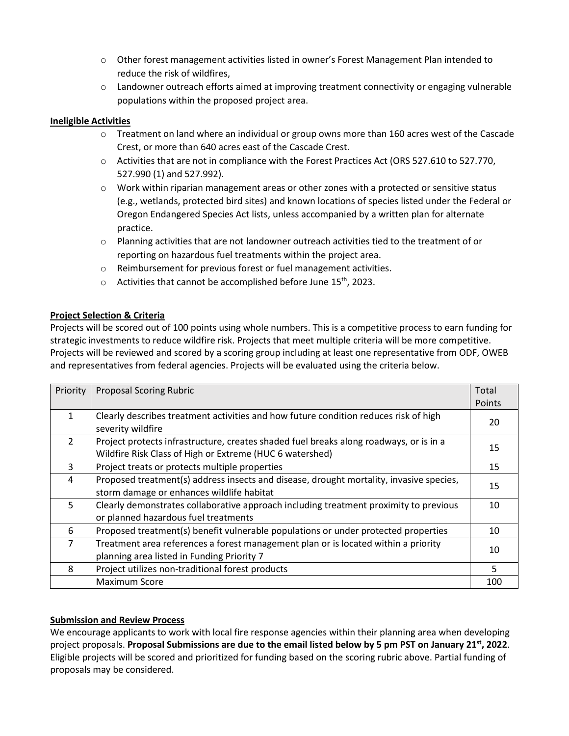- o Other forest management activities listed in owner's Forest Management Plan intended to reduce the risk of wildfires,
- $\circ$  Landowner outreach efforts aimed at improving treatment connectivity or engaging vulnerable populations within the proposed project area.

### **Ineligible Activities**

- $\circ$  Treatment on land where an individual or group owns more than 160 acres west of the Cascade Crest, or more than 640 acres east of the Cascade Crest.
- o Activities that are not in compliance with the Forest Practices Act (ORS 527.610 to 527.770, 527.990 (1) and 527.992).
- $\circ$  Work within riparian management areas or other zones with a protected or sensitive status (e.g., wetlands, protected bird sites) and known locations of species listed under the Federal or Oregon Endangered Species Act lists, unless accompanied by a written plan for alternate practice.
- $\circ$  Planning activities that are not landowner outreach activities tied to the treatment of or reporting on hazardous fuel treatments within the project area.
- o Reimbursement for previous forest or fuel management activities.
- $\circ$  Activities that cannot be accomplished before June 15<sup>th</sup>, 2023.

# **Project Selection & Criteria**

Projects will be scored out of 100 points using whole numbers. This is a competitive process to earn funding for strategic investments to reduce wildfire risk. Projects that meet multiple criteria will be more competitive. Projects will be reviewed and scored by a scoring group including at least one representative from ODF, OWEB and representatives from federal agencies. Projects will be evaluated using the criteria below.

| Priority       | <b>Proposal Scoring Rubric</b>                                                          | Total  |  |
|----------------|-----------------------------------------------------------------------------------------|--------|--|
|                |                                                                                         | Points |  |
|                |                                                                                         |        |  |
| 1              | Clearly describes treatment activities and how future condition reduces risk of high    | 20     |  |
|                | severity wildfire                                                                       |        |  |
| $\mathcal{P}$  | Project protects infrastructure, creates shaded fuel breaks along roadways, or is in a  | 15     |  |
|                | Wildfire Risk Class of High or Extreme (HUC 6 watershed)                                |        |  |
| 3              | Project treats or protects multiple properties                                          | 15     |  |
| 4              | Proposed treatment(s) address insects and disease, drought mortality, invasive species, |        |  |
|                | storm damage or enhances wildlife habitat                                               | 15     |  |
| 5              | Clearly demonstrates collaborative approach including treatment proximity to previous   | 10     |  |
|                | or planned hazardous fuel treatments                                                    |        |  |
| 6              | Proposed treatment(s) benefit vulnerable populations or under protected properties      | 10     |  |
| $\overline{7}$ | Treatment area references a forest management plan or is located within a priority      |        |  |
|                | planning area listed in Funding Priority 7                                              | 10     |  |
| 8              | Project utilizes non-traditional forest products                                        | 5      |  |
|                | <b>Maximum Score</b>                                                                    | 100    |  |

#### **Submission and Review Process**

We encourage applicants to work with local fire response agencies within their planning area when developing project proposals. **Proposal Submissions are due to the email listed below by 5 pm PST on January 21st, 2022**. Eligible projects will be scored and prioritized for funding based on the scoring rubric above. Partial funding of proposals may be considered.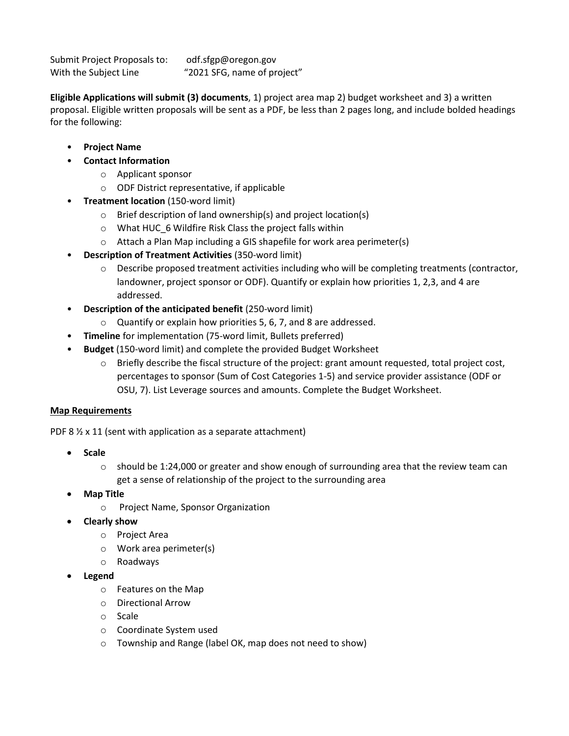Submit Project Proposals to: odf.sfgp@oregon.gov With the Subject Line "2021 SFG, name of project"

**Eligible Applications will submit (3) documents**, 1) project area map 2) budget worksheet and 3) a written proposal. Eligible written proposals will be sent as a PDF, be less than 2 pages long, and include bolded headings for the following:

- **Project Name**
- **Contact Information**
	- o Applicant sponsor
	- o ODF District representative, if applicable
- **Treatment location** (150-word limit)
	- $\circ$  Brief description of land ownership(s) and project location(s)
	- $\circ$  What HUC 6 Wildfire Risk Class the project falls within
	- o Attach a Plan Map including a GIS shapefile for work area perimeter(s)
- **Description of Treatment Activities** (350-word limit)
	- o Describe proposed treatment activities including who will be completing treatments (contractor, landowner, project sponsor or ODF). Quantify or explain how priorities 1, 2,3, and 4 are addressed.
- **Description of the anticipated benefit** (250-word limit)
	- o Quantify or explain how priorities 5, 6, 7, and 8 are addressed.
- **Timeline** for implementation (75-word limit, Bullets preferred)
- **Budget** (150-word limit) and complete the provided Budget Worksheet
	- o Briefly describe the fiscal structure of the project: grant amount requested, total project cost, percentages to sponsor (Sum of Cost Categories 1-5) and service provider assistance (ODF or OSU, 7). List Leverage sources and amounts. Complete the Budget Worksheet.

#### **Map Requirements**

PDF 8  $\frac{1}{2}$  x 11 (sent with application as a separate attachment)

- **Scale**
	- $\circ$  should be 1:24,000 or greater and show enough of surrounding area that the review team can get a sense of relationship of the project to the surrounding area
- **Map Title**
	- o Project Name, Sponsor Organization
- **Clearly show**
	- o Project Area
	- o Work area perimeter(s)
	- o Roadways
- **Legend**
	- o Features on the Map
	- o Directional Arrow
	- o Scale
	- o Coordinate System used
	- o Township and Range (label OK, map does not need to show)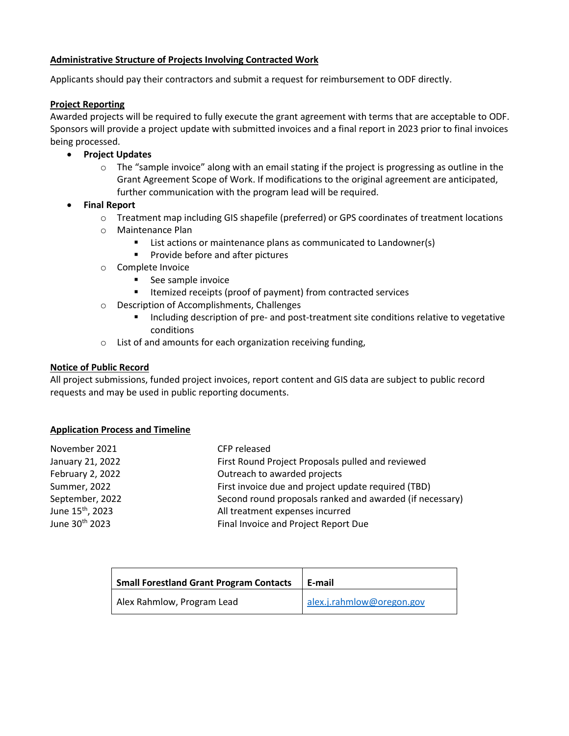### **Administrative Structure of Projects Involving Contracted Work**

Applicants should pay their contractors and submit a request for reimbursement to ODF directly.

#### **Project Reporting**

Awarded projects will be required to fully execute the grant agreement with terms that are acceptable to ODF. Sponsors will provide a project update with submitted invoices and a final report in 2023 prior to final invoices being processed.

- **Project Updates**
	- $\circ$  The "sample invoice" along with an email stating if the project is progressing as outline in the Grant Agreement Scope of Work. If modifications to the original agreement are anticipated, further communication with the program lead will be required.
- **Final Report**
	- o Treatment map including GIS shapefile (preferred) or GPS coordinates of treatment locations
	- o Maintenance Plan
		- List actions or maintenance plans as communicated to Landowner(s)
		- Provide before and after pictures
	- o Complete Invoice
		- See sample invoice
		- Itemized receipts (proof of payment) from contracted services
	- o Description of Accomplishments, Challenges
		- Including description of pre- and post-treatment site conditions relative to vegetative conditions
	- o List of and amounts for each organization receiving funding,

#### **Notice of Public Record**

All project submissions, funded project invoices, report content and GIS data are subject to public record requests and may be used in public reporting documents.

#### **Application Process and Timeline**

| November 2021                | CFP released                                             |
|------------------------------|----------------------------------------------------------|
| January 21, 2022             | First Round Project Proposals pulled and reviewed        |
| February 2, 2022             | Outreach to awarded projects                             |
| Summer, 2022                 | First invoice due and project update required (TBD)      |
| September, 2022              | Second round proposals ranked and awarded (if necessary) |
| June 15 <sup>th</sup> , 2023 | All treatment expenses incurred                          |
| June 30 <sup>th</sup> 2023   | Final Invoice and Project Report Due                     |
|                              |                                                          |

| <b>Small Forestland Grant Program Contacts</b> | E-mail                    |
|------------------------------------------------|---------------------------|
| Alex Rahmlow, Program Lead                     | alex.j.rahmlow@oregon.gov |